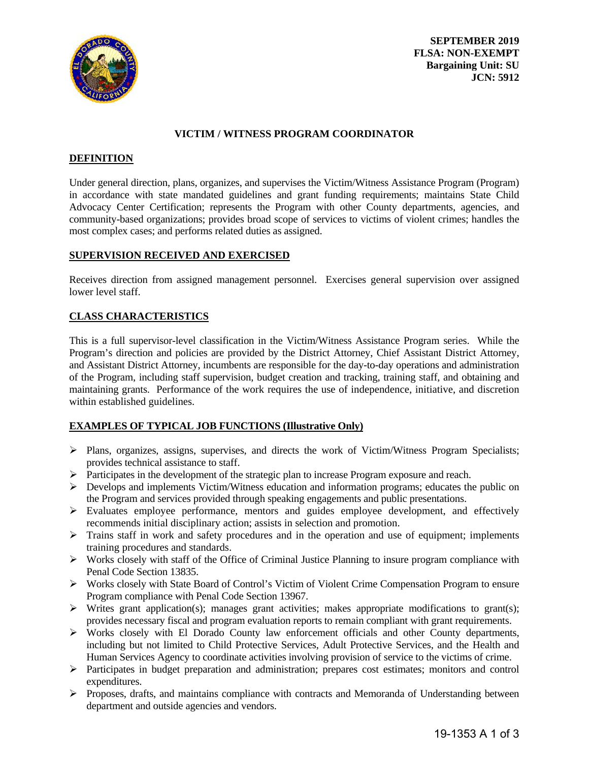

**SEPTEMBER 2019 FLSA: NON-EXEMPT Bargaining Unit: SU JCN: 5912**

### **VICTIM / WITNESS PROGRAM COORDINATOR**

## **DEFINITION**

Under general direction, plans, organizes, and supervises the Victim/Witness Assistance Program (Program) in accordance with state mandated guidelines and grant funding requirements; maintains State Child Advocacy Center Certification; represents the Program with other County departments, agencies, and community-based organizations; provides broad scope of services to victims of violent crimes; handles the most complex cases; and performs related duties as assigned.

## **SUPERVISION RECEIVED AND EXERCISED**

Receives direction from assigned management personnel. Exercises general supervision over assigned lower level staff.

#### **CLASS CHARACTERISTICS**

This is a full supervisor-level classification in the Victim/Witness Assistance Program series. While the Program's direction and policies are provided by the District Attorney, Chief Assistant District Attorney, and Assistant District Attorney, incumbents are responsible for the day-to-day operations and administration of the Program, including staff supervision, budget creation and tracking, training staff, and obtaining and maintaining grants. Performance of the work requires the use of independence, initiative, and discretion within established guidelines.

# **EXAMPLES OF TYPICAL JOB FUNCTIONS (Illustrative Only)**

- $\triangleright$  Plans, organizes, assigns, supervises, and directs the work of Victim/Witness Program Specialists; provides technical assistance to staff.
- Participates in the development of the strategic plan to increase Program exposure and reach.
- Develops and implements Victim/Witness education and information programs; educates the public on the Program and services provided through speaking engagements and public presentations.
- Evaluates employee performance, mentors and guides employee development, and effectively recommends initial disciplinary action; assists in selection and promotion.
- $\triangleright$  Trains staff in work and safety procedures and in the operation and use of equipment; implements training procedures and standards.
- $\triangleright$  Works closely with staff of the Office of Criminal Justice Planning to insure program compliance with Penal Code Section 13835.
- Works closely with State Board of Control's Victim of Violent Crime Compensation Program to ensure Program compliance with Penal Code Section 13967.
- $\triangleright$  Writes grant application(s); manages grant activities; makes appropriate modifications to grant(s); provides necessary fiscal and program evaluation reports to remain compliant with grant requirements.
- Works closely with El Dorado County law enforcement officials and other County departments, including but not limited to Child Protective Services, Adult Protective Services, and the Health and Human Services Agency to coordinate activities involving provision of service to the victims of crime.
- $\triangleright$  Participates in budget preparation and administration; prepares cost estimates; monitors and control expenditures.
- Proposes, drafts, and maintains compliance with contracts and Memoranda of Understanding between department and outside agencies and vendors.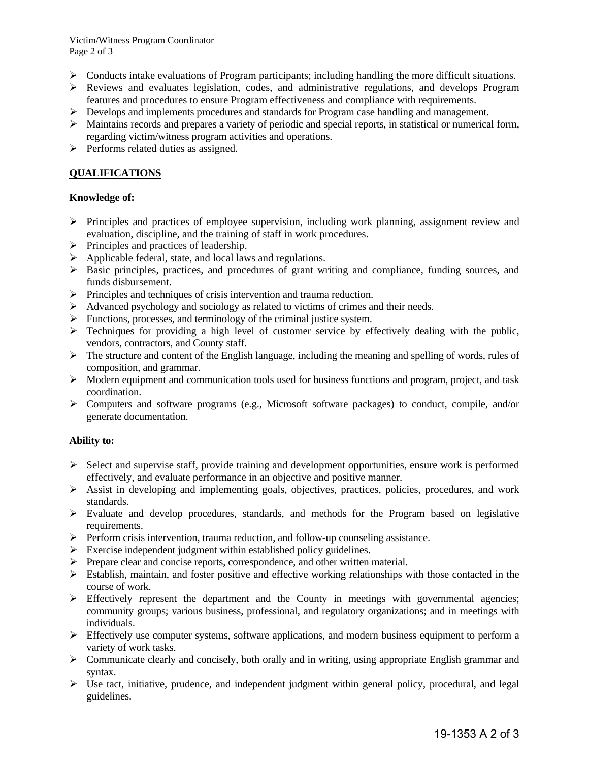Victim/Witness Program Coordinator Page 2 of 3

- $\triangleright$  Conducts intake evaluations of Program participants; including handling the more difficult situations.
- Reviews and evaluates legislation, codes, and administrative regulations, and develops Program features and procedures to ensure Program effectiveness and compliance with requirements.
- $\triangleright$  Develops and implements procedures and standards for Program case handling and management.
- $\triangleright$  Maintains records and prepares a variety of periodic and special reports, in statistical or numerical form, regarding victim/witness program activities and operations.
- $\triangleright$  Performs related duties as assigned.

# **QUALIFICATIONS**

## **Knowledge of:**

- $\triangleright$  Principles and practices of employee supervision, including work planning, assignment review and evaluation, discipline, and the training of staff in work procedures.
- $\triangleright$  Principles and practices of leadership.
- $\triangleright$  Applicable federal, state, and local laws and regulations.
- $\triangleright$  Basic principles, practices, and procedures of grant writing and compliance, funding sources, and funds disbursement.
- $\triangleright$  Principles and techniques of crisis intervention and trauma reduction.
- $\triangleright$  Advanced psychology and sociology as related to victims of crimes and their needs.
- $\triangleright$  Functions, processes, and terminology of the criminal justice system.
- $\triangleright$  Techniques for providing a high level of customer service by effectively dealing with the public, vendors, contractors, and County staff.
- $\triangleright$  The structure and content of the English language, including the meaning and spelling of words, rules of composition, and grammar.
- $\triangleright$  Modern equipment and communication tools used for business functions and program, project, and task coordination.
- $\triangleright$  Computers and software programs (e.g., Microsoft software packages) to conduct, compile, and/or generate documentation.

## **Ability to:**

- $\triangleright$  Select and supervise staff, provide training and development opportunities, ensure work is performed effectively, and evaluate performance in an objective and positive manner.
- $\triangleright$  Assist in developing and implementing goals, objectives, practices, policies, procedures, and work standards.
- $\triangleright$  Evaluate and develop procedures, standards, and methods for the Program based on legislative requirements.
- $\triangleright$  Perform crisis intervention, trauma reduction, and follow-up counseling assistance.
- Exercise independent judgment within established policy guidelines.
- $\triangleright$  Prepare clear and concise reports, correspondence, and other written material.
- $\triangleright$  Establish, maintain, and foster positive and effective working relationships with those contacted in the course of work.
- $\triangleright$  Effectively represent the department and the County in meetings with governmental agencies; community groups; various business, professional, and regulatory organizations; and in meetings with individuals.
- $\triangleright$  Effectively use computer systems, software applications, and modern business equipment to perform a variety of work tasks.
- $\triangleright$  Communicate clearly and concisely, both orally and in writing, using appropriate English grammar and syntax.
- $\triangleright$  Use tact, initiative, prudence, and independent judgment within general policy, procedural, and legal guidelines.